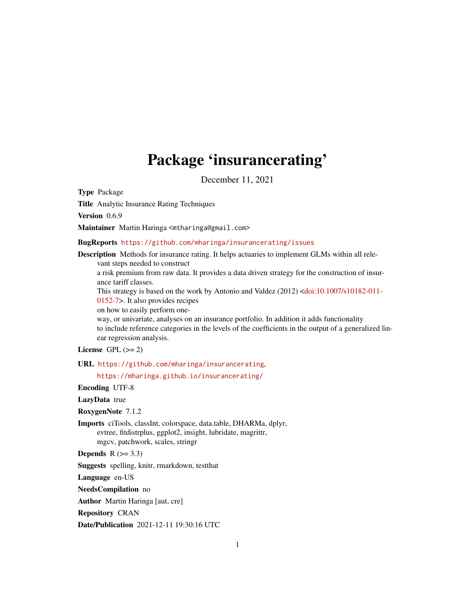# Package 'insurancerating'

December 11, 2021

<span id="page-0-0"></span>Type Package

Title Analytic Insurance Rating Techniques

Version 0.6.9

Maintainer Martin Haringa <mtharinga@gmail.com>

BugReports <https://github.com/mharinga/insurancerating/issues>

Description Methods for insurance rating. It helps actuaries to implement GLMs within all relevant steps needed to construct

a risk premium from raw data. It provides a data driven strategy for the construction of insurance tariff classes.

This strategy is based on the work by Antonio and Valdez (2012) [<doi:10.1007/s10182-011-](https://doi.org/10.1007/s10182-011-0152-7)

[0152-7>](https://doi.org/10.1007/s10182-011-0152-7). It also provides recipes

on how to easily perform one-

way, or univariate, analyses on an insurance portfolio. In addition it adds functionality to include reference categories in the levels of the coefficients in the output of a generalized linear regression analysis.

# License GPL  $(>= 2)$

URL <https://github.com/mharinga/insurancerating>,

<https://mharinga.github.io/insurancerating/>

Encoding UTF-8

#### LazyData true

RoxygenNote 7.1.2

Imports ciTools, classInt, colorspace, data.table, DHARMa, dplyr, evtree, fitdistrplus, ggplot2, insight, lubridate, magrittr, mgcv, patchwork, scales, stringr

**Depends**  $R$  ( $>= 3.3$ )

Suggests spelling, knitr, rmarkdown, testthat

Language en-US

NeedsCompilation no

Author Martin Haringa [aut, cre]

Repository CRAN

Date/Publication 2021-12-11 19:30:16 UTC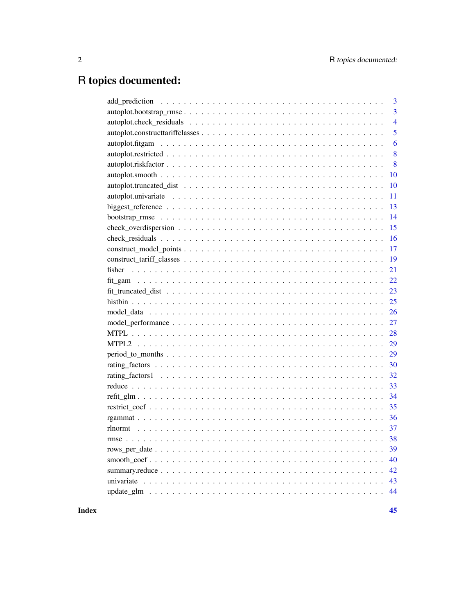# R topics documented:

| $\overline{3}$ |
|----------------|
| $\overline{3}$ |
| $\overline{4}$ |
| 5              |
| 6              |
| 8              |
| 8              |
| 10             |
| 10             |
| 11             |
| 13             |
| 14             |
| 15             |
| 16             |
| 17             |
| 19             |
| 21             |
| 22             |
| 23             |
| 25             |
| 26             |
| 27             |
| 28             |
| 29             |
| 29             |
| 30             |
| 32             |
| 33             |
| 34             |
| 35             |
| 36             |
| 37             |
| 38             |
| 39             |
| 40             |
| 42             |
| 43             |
| 44             |

Index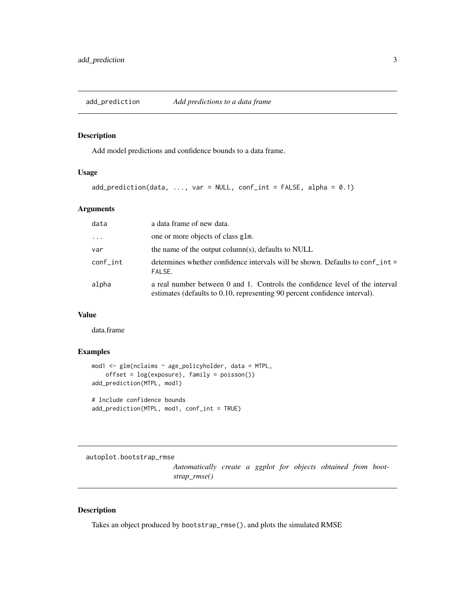<span id="page-2-0"></span>add\_prediction *Add predictions to a data frame*

# Description

Add model predictions and confidence bounds to a data frame.

# Usage

 $add\_prediction(data, ..., var = NULL, conf\_int = FALSE, alpha = 0.1)$ 

# Arguments

| data     | a data frame of new data.                                                                                                                                  |
|----------|------------------------------------------------------------------------------------------------------------------------------------------------------------|
| $\cdots$ | one or more objects of class glm.                                                                                                                          |
| var      | the name of the output column(s), defaults to NULL                                                                                                         |
| conf int | determines whether confidence intervals will be shown. Defaults to conf int =<br>FALSE.                                                                    |
| alpha    | a real number between 0 and 1. Controls the confidence level of the interval<br>estimates (defaults to 0.10, representing 90 percent confidence interval). |

# Value

data.frame

# Examples

```
mod1 <- glm(nclaims ~ age_policyholder, data = MTPL,
    offset = log(exposure), family = poisson())
add_prediction(MTPL, mod1)
# Include confidence bounds
add_prediction(MTPL, mod1, conf_int = TRUE)
```
autoplot.bootstrap\_rmse

*Automatically create a ggplot for objects obtained from bootstrap\_rmse()*

# Description

Takes an object produced by bootstrap\_rmse(), and plots the simulated RMSE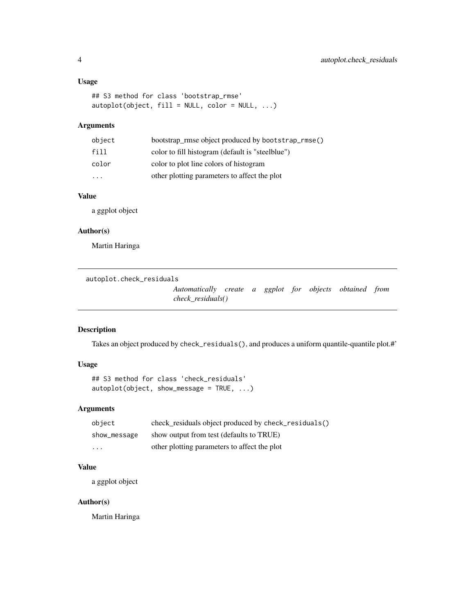# <span id="page-3-0"></span>Usage

```
## S3 method for class 'bootstrap_rmse'
autoplot(object, fill = NULL, color = NULL, ...)
```
# Arguments

| object                  | bootstrap_rmse object produced by bootstrap_rmse() |
|-------------------------|----------------------------------------------------|
| fill                    | color to fill histogram (default is "steelblue")   |
| color                   | color to plot line colors of histogram             |
| $\cdot$ $\cdot$ $\cdot$ | other plotting parameters to affect the plot       |

# Value

a ggplot object

## Author(s)

Martin Haringa

autoplot.check\_residuals

*Automatically create a ggplot for objects obtained from check\_residuals()*

# Description

Takes an object produced by check\_residuals(), and produces a uniform quantile-quantile plot.#'

# Usage

```
## S3 method for class 'check_residuals'
autoplot(object, show_message = TRUE, ...)
```
# Arguments

| object       | check_residuals object produced by check_residuals() |
|--------------|------------------------------------------------------|
| show_message | show output from test (defaults to TRUE)             |
| .            | other plotting parameters to affect the plot         |

# Value

a ggplot object

# Author(s)

Martin Haringa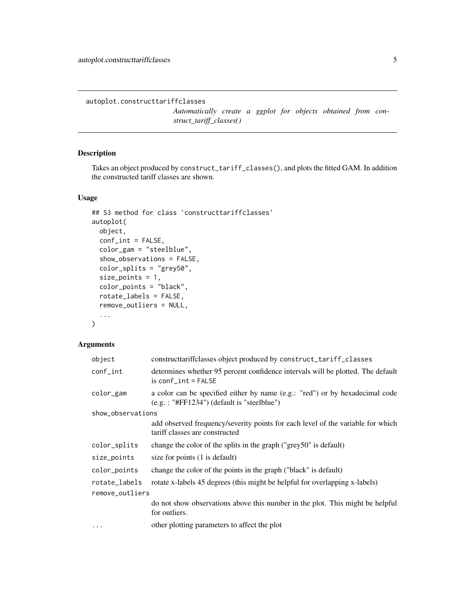<span id="page-4-0"></span>autoplot.constructtariffclasses

*Automatically create a ggplot for objects obtained from construct\_tariff\_classes()*

# Description

Takes an object produced by construct\_tariff\_classes(), and plots the fitted GAM. In addition the constructed tariff classes are shown.

#### Usage

```
## S3 method for class 'constructtariffclasses'
autoplot(
 object,
 conf_int = FALSE,
  color_gam = "steelblue",
  show_observations = FALSE,
 color_splits = "grey50",
  size_points = 1,
  color_points = "black",
 rotate_labels = FALSE,
  remove_outliers = NULL,
  ...
)
```

| object            | constructtariffclasses object produced by construct_tariff_classes                                                            |
|-------------------|-------------------------------------------------------------------------------------------------------------------------------|
| $conf_$           | determines whether 95 percent confidence intervals will be plotted. The default<br>$is conf\_int = FALSE$                     |
| color_gam         | a color can be specified either by name (e.g.: "red") or by hexadecimal code<br>$(e.g. : "#FF1234")$ (default is "steelblue") |
| show_observations |                                                                                                                               |
|                   | add observed frequency/severity points for each level of the variable for which<br>tariff classes are constructed             |
| color_splits      | change the color of the splits in the graph ("grey50" is default)                                                             |
| size_points       | size for points (1 is default)                                                                                                |
| color_points      | change the color of the points in the graph ("black" is default)                                                              |
| rotate_labels     | rotate x-labels 45 degrees (this might be helpful for overlapping x-labels)                                                   |
| remove_outliers   |                                                                                                                               |
|                   | do not show observations above this number in the plot. This might be helpful<br>for outliers.                                |
| $\cdots$          | other plotting parameters to affect the plot                                                                                  |
|                   |                                                                                                                               |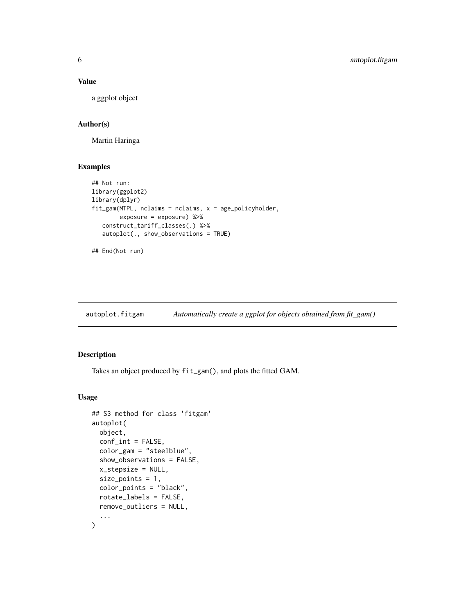#### <span id="page-5-0"></span>Value

a ggplot object

# Author(s)

Martin Haringa

# Examples

```
## Not run:
library(ggplot2)
library(dplyr)
fit_gam(MTPL, nclaims = nclaims, x = age_policyholder,
        exposure = exposure) %>%
   construct_tariff_classes(.) %>%
   autoplot(., show_observations = TRUE)
```

```
## End(Not run)
```
autoplot.fitgam *Automatically create a ggplot for objects obtained from fit\_gam()*

# Description

Takes an object produced by fit\_gam(), and plots the fitted GAM.

# Usage

```
## S3 method for class 'fitgam'
autoplot(
 object,
  conf\_int = FALSE,color_gam = "steelblue",
  show_observations = FALSE,
  x_stepsize = NULL,
  size_points = 1,
  color_points = "black",
  rotate_labels = FALSE,
  remove_outliers = NULL,
  ...
\mathcal{L}
```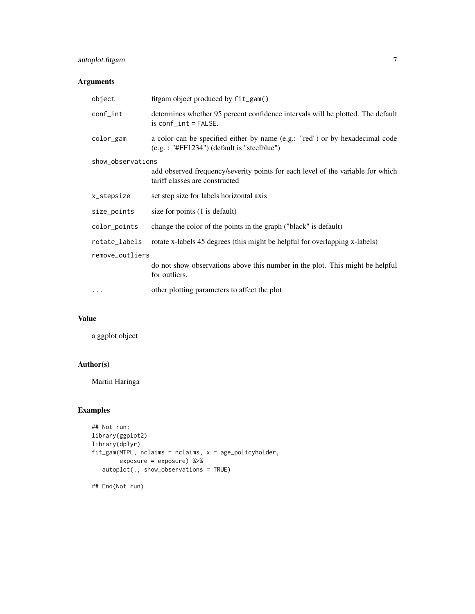# autoplot.fitgam 7

# Arguments

| object            | fitgam object produced by fit_gam()                                                                                           |
|-------------------|-------------------------------------------------------------------------------------------------------------------------------|
| conf_int          | determines whether 95 percent confidence intervals will be plotted. The default<br>$is conf\_int = FALSE.$                    |
| color_gam         | a color can be specified either by name (e.g.: "red") or by hexadecimal code<br>$(e.g. : "#FF1234")$ (default is "steelblue") |
| show_observations |                                                                                                                               |
|                   | add observed frequency/severity points for each level of the variable for which<br>tariff classes are constructed             |
| x_stepsize        | set step size for labels horizontal axis                                                                                      |
| size_points       | size for points (1 is default)                                                                                                |
| color_points      | change the color of the points in the graph ("black" is default)                                                              |
| rotate_labels     | rotate x-labels 45 degrees (this might be helpful for overlapping x-labels)                                                   |
| remove_outliers   |                                                                                                                               |
|                   | do not show observations above this number in the plot. This might be helpful<br>for outliers.                                |
| $\cdots$          | other plotting parameters to affect the plot                                                                                  |

# Value

a ggplot object

# Author(s)

Martin Haringa

# Examples

```
## Not run:
library(ggplot2)
library(dplyr)
fit_gam(MTPL, nclaims = nclaims, x = age_policyholder,
       exposure = exposure) %>%
   autoplot(., show_observations = TRUE)
```
## End(Not run)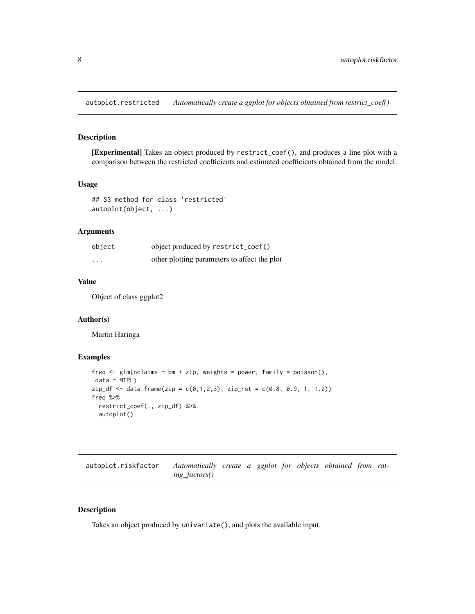<span id="page-7-1"></span><span id="page-7-0"></span>autoplot.restricted *Automatically create a ggplot for objects obtained from restrict\_coef()*

# Description

[Experimental] Takes an object produced by restrict\_coef(), and produces a line plot with a comparison between the restricted coefficients and estimated coefficients obtained from the model.

#### Usage

```
## S3 method for class 'restricted'
autoplot(object, ...)
```
# Arguments

| object   | object produced by restrict_coef()           |
|----------|----------------------------------------------|
| $\cdots$ | other plotting parameters to affect the plot |

# Value

Object of class ggplot2

# Author(s)

Martin Haringa

# Examples

```
freq \leq glm(nclaims \sim bm + zip, weights = power, family = poisson(),
data = MTPL)
zip_f <- data. frame(zip = c(0,1,2,3), zip_rst = c(0.8, 0.9, 1, 1.2))
freq %>%
  restrict_coef(., zip_df) %>%
  autoplot()
```

| autoplot.riskfactor | Automatically create a ggplot for objects obtained from rat- |  |  |  |  |
|---------------------|--------------------------------------------------------------|--|--|--|--|
|                     | ing factors()                                                |  |  |  |  |

# Description

Takes an object produced by univariate(), and plots the available input.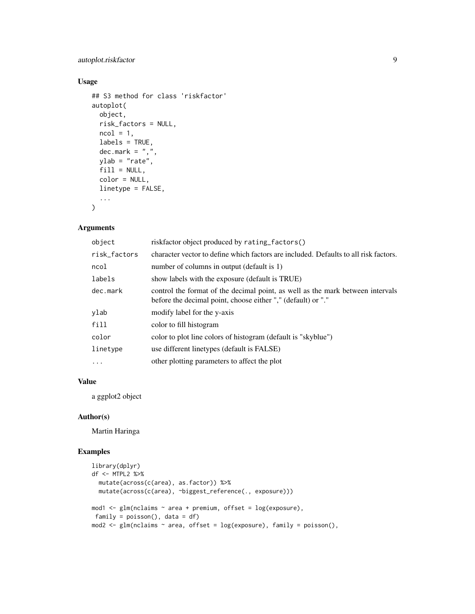# autoplot.riskfactor 9

# Usage

```
## S3 method for class 'riskfactor'
autoplot(
 object,
 risk_factors = NULL,
 ncol = 1,
 labels = TRUE,
 dec.maxk = ","ylab = "rate",
 fill = NULL,color = NULL,
 linetype = FALSE,
  ...
)
```
# Arguments

| object       | riskfactor object produced by rating_factors()                                                                                                 |
|--------------|------------------------------------------------------------------------------------------------------------------------------------------------|
| risk_factors | character vector to define which factors are included. Defaults to all risk factors.                                                           |
| ncol         | number of columns in output (default is 1)                                                                                                     |
| labels       | show labels with the exposure (default is TRUE)                                                                                                |
| dec.mark     | control the format of the decimal point, as well as the mark between intervals<br>before the decimal point, choose either "," (default) or "." |
| ylab         | modify label for the y-axis                                                                                                                    |
| fill         | color to fill histogram                                                                                                                        |
| color        | color to plot line colors of histogram (default is "skyblue")                                                                                  |
| linetype     | use different linetypes (default is FALSE)                                                                                                     |
| $\cdots$     | other plotting parameters to affect the plot                                                                                                   |

# Value

a ggplot2 object

# Author(s)

Martin Haringa

# Examples

```
library(dplyr)
df <- MTPL2 %>%
  mutate(across(c(area), as.factor)) %>%
  mutate(across(c(area), ~biggest_reference(., exposure)))
mod1 <- glm(nclaims ~ area + premium, offset = log(exposure),
family = poisson(), data = df)
mod2 \leq glm(nclaims \sim area, offset = log(exposure), family = poisson(),
```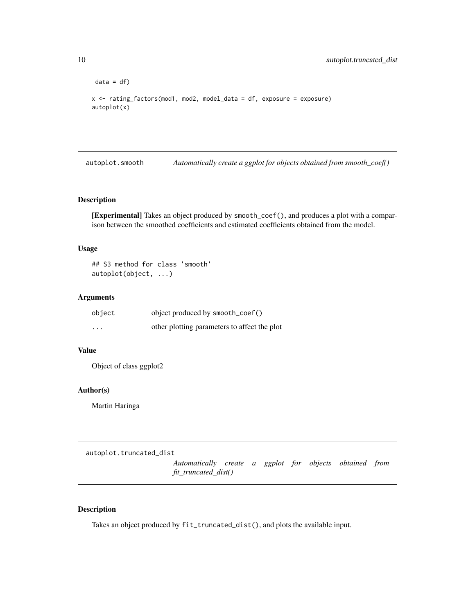```
data = df)x <- rating_factors(mod1, mod2, model_data = df, exposure = exposure)
autoplot(x)
```
<span id="page-9-1"></span>autoplot.smooth *Automatically create a ggplot for objects obtained from smooth\_coef()*

# Description

[Experimental] Takes an object produced by smooth\_coef(), and produces a plot with a comparison between the smoothed coefficients and estimated coefficients obtained from the model.

# Usage

## S3 method for class 'smooth' autoplot(object, ...)

#### Arguments

| object   | object produced by smooth_coef()             |
|----------|----------------------------------------------|
| $\cdots$ | other plotting parameters to affect the plot |

# Value

Object of class ggplot2

# Author(s)

Martin Haringa

autoplot.truncated\_dist

*Automatically create a ggplot for objects obtained from fit\_truncated\_dist()*

# Description

Takes an object produced by fit\_truncated\_dist(), and plots the available input.

<span id="page-9-0"></span>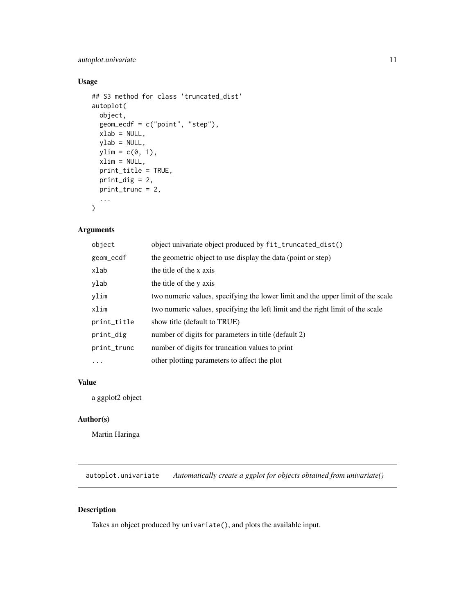# <span id="page-10-0"></span>autoplot.univariate 11

# Usage

```
## S3 method for class 'truncated_dist'
autoplot(
 object,
 geom_ecdf = c("point", "step"),
 xlab = NULL,
 ylab = NULL,
 ylim = c(0, 1),xlim = NULL,
 print_title = TRUE,
 print_dig = 2,
 print_trunc = 2,
  ...
\mathcal{L}
```
# Arguments

| object      | object univariate object produced by fit_truncated_dist()                       |
|-------------|---------------------------------------------------------------------------------|
| geom_ecdf   | the geometric object to use display the data (point or step)                    |
| xlab        | the title of the x axis                                                         |
| ylab        | the title of the y axis                                                         |
| ylim        | two numeric values, specifying the lower limit and the upper limit of the scale |
| xlim        | two numeric values, specifying the left limit and the right limit of the scale  |
| print_title | show title (default to TRUE)                                                    |
| print_dig   | number of digits for parameters in title (default 2)                            |
| print_trunc | number of digits for truncation values to print                                 |
| $\cdots$    | other plotting parameters to affect the plot                                    |

# Value

a ggplot2 object

# Author(s)

Martin Haringa

autoplot.univariate *Automatically create a ggplot for objects obtained from univariate()*

# Description

Takes an object produced by univariate(), and plots the available input.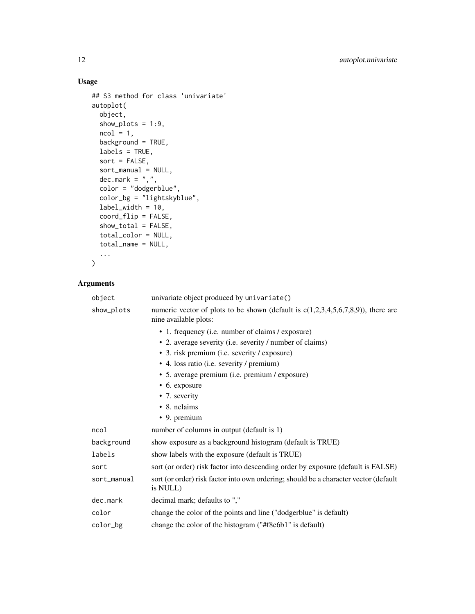# Usage

```
## S3 method for class 'univariate'
autoplot(
 object,
 show_plots = 1:9,
 ncol = 1,
 background = TRUE,
 labels = TRUE,
  sort = FALSE,sort_manual = NULL,
 dec.mark = ",",color = "dodgerblue",
 color_bg = "lightskyblue",
 label\_width = 10,coord_flip = FALSE,
  show_total = FALSE,
  total_color = NULL,
  total_name = NULL,
  ...
```

```
\mathcal{L}
```

| object      | univariate object produced by univariate()                                                                   |  |  |
|-------------|--------------------------------------------------------------------------------------------------------------|--|--|
| show_plots  | numeric vector of plots to be shown (default is $c(1,2,3,4,5,6,7,8,9)$ ), there are<br>nine available plots: |  |  |
|             | • 1. frequency (i.e. number of claims / exposure)                                                            |  |  |
|             | • 2. average severity (i.e. severity / number of claims)                                                     |  |  |
|             | • 3. risk premium (i.e. severity / exposure)                                                                 |  |  |
|             | • 4. loss ratio (i.e. severity / premium)                                                                    |  |  |
|             | • 5. average premium (i.e. premium / exposure)                                                               |  |  |
|             | • 6. exposure                                                                                                |  |  |
|             | • 7. severity                                                                                                |  |  |
|             | • 8. nclaims                                                                                                 |  |  |
|             | • 9. premium                                                                                                 |  |  |
| ncol        | number of columns in output (default is 1)                                                                   |  |  |
| background  | show exposure as a background histogram (default is TRUE)                                                    |  |  |
| labels      | show labels with the exposure (default is TRUE)                                                              |  |  |
| sort        | sort (or order) risk factor into descending order by exposure (default is FALSE)                             |  |  |
| sort_manual | sort (or order) risk factor into own ordering; should be a character vector (default<br>is NULL)             |  |  |
| dec.mark    | decimal mark; defaults to ","                                                                                |  |  |
| color       | change the color of the points and line ("dodgerblue" is default)                                            |  |  |
| color_bg    | change the color of the histogram ("#f8e6b1" is default)                                                     |  |  |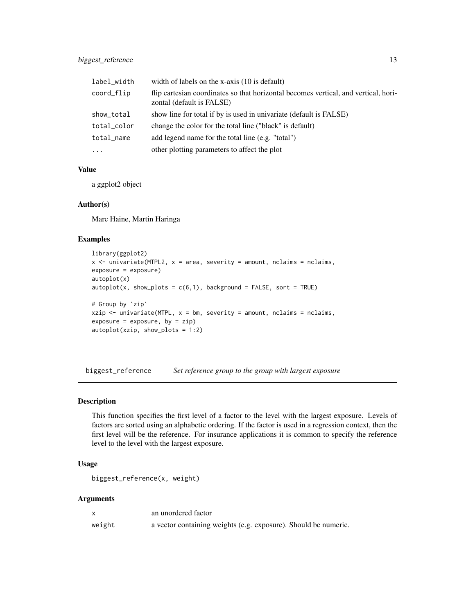<span id="page-12-0"></span>

| label_width | width of labels on the x-axis $(10 \text{ is default})$                                                          |
|-------------|------------------------------------------------------------------------------------------------------------------|
| coord_flip  | flip cartesian coordinates so that horizontal becomes vertical, and vertical, hori-<br>zontal (default is FALSE) |
| show_total  | show line for total if by is used in univariate (default is FALSE)                                               |
| total_color | change the color for the total line ("black" is default)                                                         |
| total_name  | add legend name for the total line (e.g. "total")                                                                |
| $\cdot$     | other plotting parameters to affect the plot                                                                     |

# Value

a ggplot2 object

# Author(s)

Marc Haine, Martin Haringa

# Examples

```
library(ggplot2)
x <- univariate(MTPL2, x = area, severity = amount, nclaims = nclaims,
exposure = exposure)
autoplot(x)
autoplot(x, show_plots = c(6,1), background = FALSE, sort = TRUE)# Group by `zip`
xzip \le univariate(MTPL, x = bm, severity = amount, nclaims = nclaims,
exposure = exposure, by = zip)
autoplot(xzip, show_plots = 1:2)
```
biggest\_reference *Set reference group to the group with largest exposure*

# Description

This function specifies the first level of a factor to the level with the largest exposure. Levels of factors are sorted using an alphabetic ordering. If the factor is used in a regression context, then the first level will be the reference. For insurance applications it is common to specify the reference level to the level with the largest exposure.

# Usage

```
biggest_reference(x, weight)
```

|        | an unordered factor                                             |
|--------|-----------------------------------------------------------------|
| weight | a vector containing weights (e.g. exposure). Should be numeric. |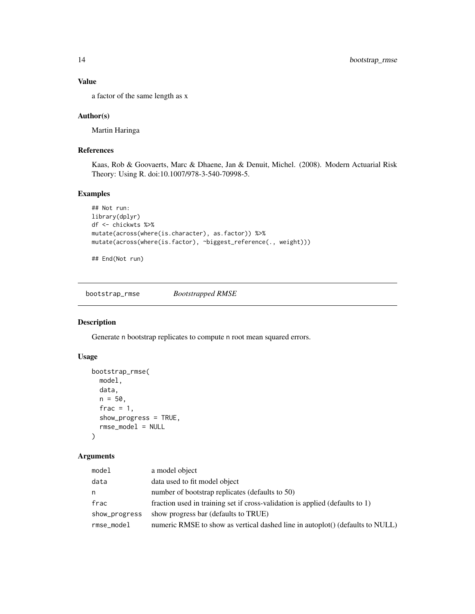# Value

a factor of the same length as x

# Author(s)

Martin Haringa

# References

Kaas, Rob & Goovaerts, Marc & Dhaene, Jan & Denuit, Michel. (2008). Modern Actuarial Risk Theory: Using R. doi:10.1007/978-3-540-70998-5.

# Examples

```
## Not run:
library(dplyr)
df <- chickwts %>%
mutate(across(where(is.character), as.factor)) %>%
mutate(across(where(is.factor), ~biggest_reference(., weight)))
```
## End(Not run)

bootstrap\_rmse *Bootstrapped RMSE*

# Description

Generate n bootstrap replicates to compute n root mean squared errors.

#### Usage

```
bootstrap_rmse(
 model,
 data,
 n = 50,
  frac = 1,
  show_progress = TRUE,
  rmse_model = NULL
\lambda
```

| model         | a model object                                                                |
|---------------|-------------------------------------------------------------------------------|
| data          | data used to fit model object                                                 |
| n             | number of bootstrap replicates (defaults to 50)                               |
| frac          | fraction used in training set if cross-validation is applied (defaults to 1)  |
| show_progress | show progress bar (defaults to TRUE)                                          |
| rmse_model    | numeric RMSE to show as vertical dashed line in autoplot() (defaults to NULL) |

<span id="page-13-0"></span>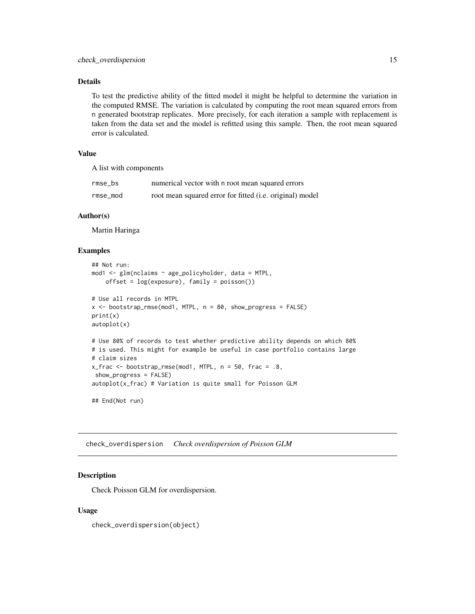# <span id="page-14-0"></span>Details

To test the predictive ability of the fitted model it might be helpful to determine the variation in the computed RMSE. The variation is calculated by computing the root mean squared errors from n generated bootstrap replicates. More precisely, for each iteration a sample with replacement is taken from the data set and the model is refitted using this sample. Then, the root mean squared error is calculated.

# Value

A list with components

| rmse bs  | numerical vector with n root mean squared errors         |
|----------|----------------------------------------------------------|
| rmse mod | root mean squared error for fitted (i.e. original) model |

# Author(s)

Martin Haringa

#### Examples

```
## Not run:
mod1 <- glm(nclaims ~ age_policyholder, data = MTPL,
   offset = log(exposure), family = poisson())
# Use all records in MTPL
x <- bootstrap_rmse(mod1, MTPL, n = 80, show_progress = FALSE)
print(x)
autoplot(x)
# Use 80% of records to test whether predictive ability depends on which 80%
# is used. This might for example be useful in case portfolio contains large
# claim sizes
x_frac <- bootstrap_rmse(mod1, MTPL, n = 50, frac = .8,
show_progress = FALSE)
autoplot(x_frac) # Variation is quite small for Poisson GLM
## End(Not run)
```
check\_overdispersion *Check overdispersion of Poisson GLM*

#### Description

Check Poisson GLM for overdispersion.

#### Usage

check\_overdispersion(object)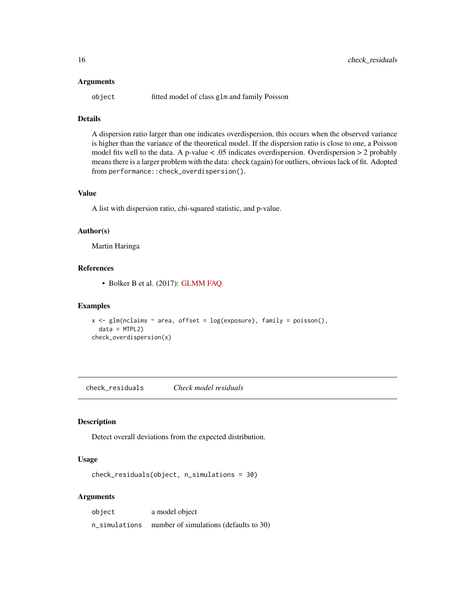#### <span id="page-15-0"></span>**Arguments**

object fitted model of class glm and family Poisson

# Details

A dispersion ratio larger than one indicates overdispersion, this occurs when the observed variance is higher than the variance of the theoretical model. If the dispersion ratio is close to one, a Poisson model fits well to the data. A p-value < .05 indicates overdispersion. Overdispersion > 2 probably means there is a larger problem with the data: check (again) for outliers, obvious lack of fit. Adopted from performance::check\_overdispersion().

#### Value

A list with dispersion ratio, chi-squared statistic, and p-value.

#### Author(s)

Martin Haringa

# References

• Bolker B et al. (2017): [GLMM FAQ.](http://bbolker.github.io/mixedmodels-misc/glmmFAQ.html)

#### Examples

```
x \leq glm(nclains \sim area, offset = log(exposure), family = poisson(),data = MTPL2)
check_overdispersion(x)
```
check\_residuals *Check model residuals*

# Description

Detect overall deviations from the expected distribution.

#### Usage

```
check_residuals(object, n_simulations = 30)
```

| object        | a model object                         |
|---------------|----------------------------------------|
| n_simulations | number of simulations (defaults to 30) |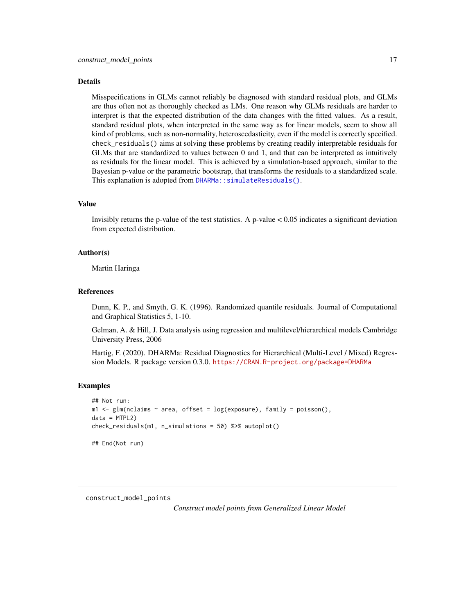#### <span id="page-16-0"></span>Details

Misspecifications in GLMs cannot reliably be diagnosed with standard residual plots, and GLMs are thus often not as thoroughly checked as LMs. One reason why GLMs residuals are harder to interpret is that the expected distribution of the data changes with the fitted values. As a result, standard residual plots, when interpreted in the same way as for linear models, seem to show all kind of problems, such as non-normality, heteroscedasticity, even if the model is correctly specified. check\_residuals() aims at solving these problems by creating readily interpretable residuals for GLMs that are standardized to values between 0 and 1, and that can be interpreted as intuitively as residuals for the linear model. This is achieved by a simulation-based approach, similar to the Bayesian p-value or the parametric bootstrap, that transforms the residuals to a standardized scale. This explanation is adopted from DHARMa:: simulateResiduals().

# Value

Invisibly returns the p-value of the test statistics. A p-value  $< 0.05$  indicates a significant deviation from expected distribution.

#### Author(s)

Martin Haringa

#### References

Dunn, K. P., and Smyth, G. K. (1996). Randomized quantile residuals. Journal of Computational and Graphical Statistics 5, 1-10.

Gelman, A. & Hill, J. Data analysis using regression and multilevel/hierarchical models Cambridge University Press, 2006

Hartig, F. (2020). DHARMa: Residual Diagnostics for Hierarchical (Multi-Level / Mixed) Regression Models. R package version 0.3.0. <https://CRAN.R-project.org/package=DHARMa>

#### Examples

```
## Not run:
m1 \leq glm(nclaims \sim area, offset = log(exposure), family = poisson(),data = MTPL2check_residuals(m1, n_simulations = 50) %>% autoplot()
## End(Not run)
```
construct\_model\_points

*Construct model points from Generalized Linear Model*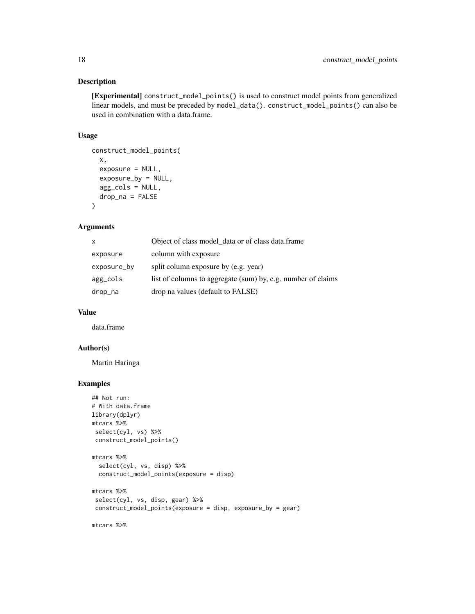# Description

[Experimental] construct\_model\_points() is used to construct model points from generalized linear models, and must be preceded by model\_data(). construct\_model\_points() can also be used in combination with a data.frame.

# Usage

```
construct_model_points(
 x,
 exposure = NULL,
 exposure_by = NULL,
 agg_cols = NULL,
 drop_na = FALSE
\lambda
```
# Arguments

| x           | Object of class model_data or of class data.frame            |
|-------------|--------------------------------------------------------------|
| exposure    | column with exposure                                         |
| exposure_by | split column exposure by (e.g. year)                         |
| agg_cols    | list of columns to aggregate (sum) by, e.g. number of claims |
| drop_na     | drop na values (default to FALSE)                            |

#### Value

data.frame

# Author(s)

Martin Haringa

# Examples

```
## Not run:
# With data.frame
library(dplyr)
mtcars %>%
select(cyl, vs) %>%
 construct_model_points()
mtcars %>%
  select(cyl, vs, disp) %>%
  construct_model_points(exposure = disp)
mtcars %>%
 select(cyl, vs, disp, gear) %>%
 construct_model_points(exposure = disp, exposure_by = gear)
mtcars %>%
```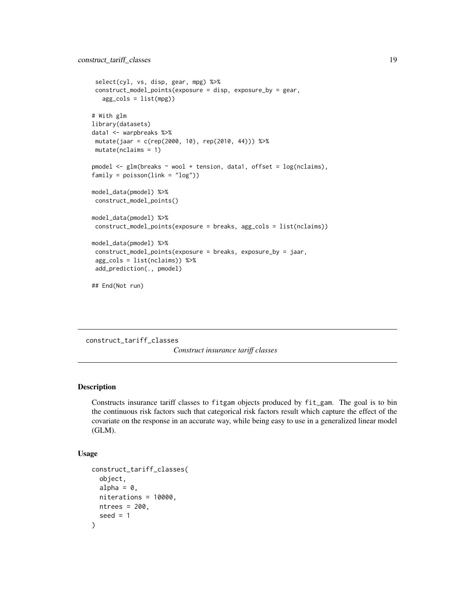```
select(cyl, vs, disp, gear, mpg) %>%
construct_model_points(exposure = disp, exposure_by = gear,
  agg_cols = list(mpg))
# With glm
library(datasets)
data1 <- warpbreaks %>%
mutate(jaar = c(rep(2000, 10), rep(2010, 44))) %>%
mutate(nclaims = 1)
pmodel <- glm(breaks ~ wool + tension, data1, offset = log(nclaims),
family = poisson(line = "log")model_data(pmodel) %>%
construct_model_points()
model_data(pmodel) %>%
construct_model_points(exposure = breaks, agg_cols = list(nclaims))
model_data(pmodel) %>%
construct_model_points(exposure = breaks, exposure_by = jaar,
agg_cols = list(nclaims)) %>%
add_prediction(., pmodel)
## End(Not run)
```
construct\_tariff\_classes

*Construct insurance tariff classes*

#### Description

Constructs insurance tariff classes to fitgam objects produced by fit\_gam. The goal is to bin the continuous risk factors such that categorical risk factors result which capture the effect of the covariate on the response in an accurate way, while being easy to use in a generalized linear model (GLM).

#### Usage

```
construct_tariff_classes(
  object,
  alpha = 0,
 niterations = 10000,
 ntrees = 200,seed = 1)
```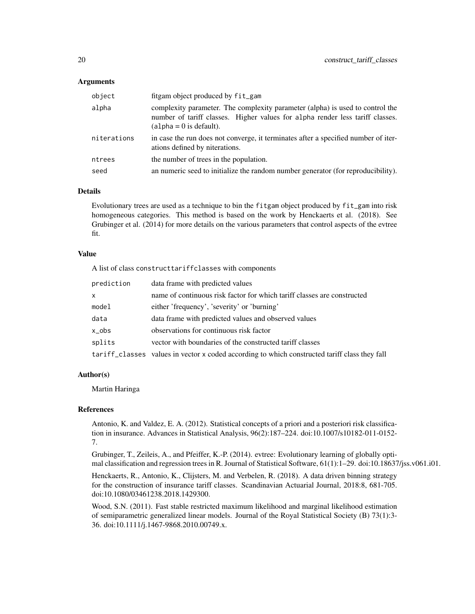#### **Arguments**

| object      | fitgam object produced by fit_gam                                                                                                                                                           |
|-------------|---------------------------------------------------------------------------------------------------------------------------------------------------------------------------------------------|
| alpha       | complexity parameter. The complexity parameter (alpha) is used to control the<br>number of tariff classes. Higher values for alpha render less tariff classes.<br>$(alpha = 0$ is default). |
| niterations | in case the run does not converge, it terminates after a specified number of iter-<br>ations defined by niterations.                                                                        |
| ntrees      | the number of trees in the population.                                                                                                                                                      |
| seed        | an numeric seed to initialize the random number generator (for reproducibility).                                                                                                            |

# Details

Evolutionary trees are used as a technique to bin the fitgam object produced by fit\_gam into risk homogeneous categories. This method is based on the work by Henckaerts et al. (2018). See Grubinger et al. (2014) for more details on the various parameters that control aspects of the evtree fit.

#### Value

A list of class constructtariffclasses with components

| prediction     | data frame with predicted values                                                              |
|----------------|-----------------------------------------------------------------------------------------------|
| $\mathsf{x}$   | name of continuous risk factor for which tariff classes are constructed                       |
| model          | either 'frequency', 'severity' or 'burning'                                                   |
| data           | data frame with predicted values and observed values                                          |
| x <sub>o</sub> | observations for continuous risk factor                                                       |
| splits         | vector with boundaries of the constructed tariff classes                                      |
|                | tariff_classes values in vector x coded according to which constructed tariff class they fall |

#### Author(s)

Martin Haringa

#### References

Antonio, K. and Valdez, E. A. (2012). Statistical concepts of a priori and a posteriori risk classification in insurance. Advances in Statistical Analysis, 96(2):187–224. doi:10.1007/s10182-011-0152- 7.

Grubinger, T., Zeileis, A., and Pfeiffer, K.-P. (2014). evtree: Evolutionary learning of globally optimal classification and regression trees in R. Journal of Statistical Software, 61(1):1–29. doi:10.18637/jss.v061.i01.

Henckaerts, R., Antonio, K., Clijsters, M. and Verbelen, R. (2018). A data driven binning strategy for the construction of insurance tariff classes. Scandinavian Actuarial Journal, 2018:8, 681-705. doi:10.1080/03461238.2018.1429300.

Wood, S.N. (2011). Fast stable restricted maximum likelihood and marginal likelihood estimation of semiparametric generalized linear models. Journal of the Royal Statistical Society (B) 73(1):3- 36. doi:10.1111/j.1467-9868.2010.00749.x.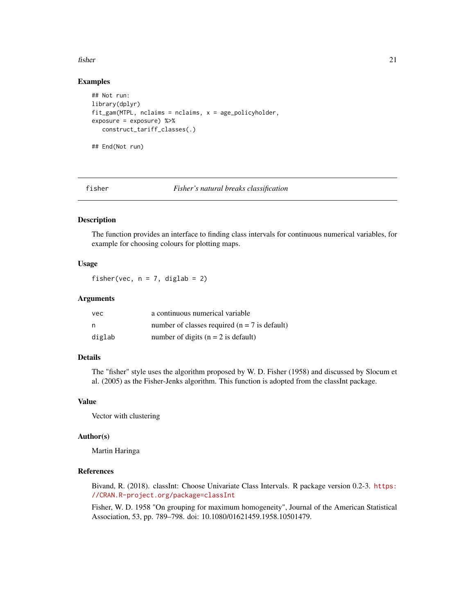#### <span id="page-20-0"></span>fisher 21

#### Examples

```
## Not run:
library(dplyr)
fit\_gamma(MTPL, nclaims = nclaims, x = age\_policyholder,exposure = exposure) %>%
   construct_tariff_classes(.)
## End(Not run)
```
fisher *Fisher's natural breaks classification*

#### Description

The function provides an interface to finding class intervals for continuous numerical variables, for example for choosing colours for plotting maps.

### Usage

fisher(vec,  $n = 7$ , diglab = 2)

#### Arguments

| vec    | a continuous numerical variable                  |
|--------|--------------------------------------------------|
| n      | number of classes required ( $n = 7$ is default) |
| diglab | number of digits ( $n = 2$ is default)           |

# Details

The "fisher" style uses the algorithm proposed by W. D. Fisher (1958) and discussed by Slocum et al. (2005) as the Fisher-Jenks algorithm. This function is adopted from the classInt package.

# Value

Vector with clustering

#### Author(s)

Martin Haringa

#### References

Bivand, R. (2018). classInt: Choose Univariate Class Intervals. R package version 0.2-3. [https:](https://CRAN.R-project.org/package=classInt) [//CRAN.R-project.org/package=classInt](https://CRAN.R-project.org/package=classInt)

Fisher, W. D. 1958 "On grouping for maximum homogeneity", Journal of the American Statistical Association, 53, pp. 789–798. doi: 10.1080/01621459.1958.10501479.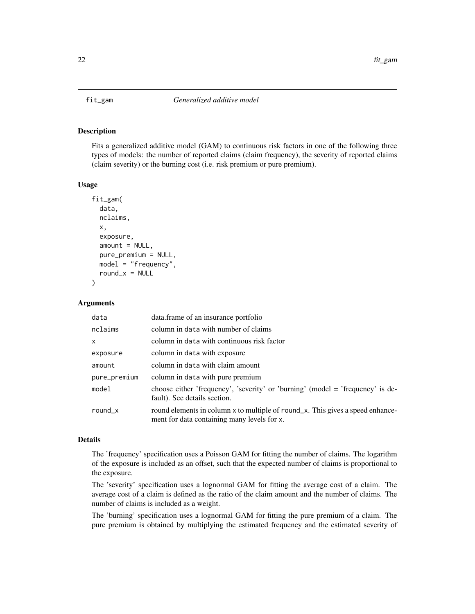#### <span id="page-21-0"></span>Description

Fits a generalized additive model (GAM) to continuous risk factors in one of the following three types of models: the number of reported claims (claim frequency), the severity of reported claims (claim severity) or the burning cost (i.e. risk premium or pure premium).

#### Usage

```
fit_gam(
  data,
  nclaims,
  x,
  exposure,
  amount = NULL,pure_premium = NULL,
 model = "frequency",
  round_x = NULL)
```
#### Arguments

| data               | data.frame of an insurance portfolio                                                                                          |
|--------------------|-------------------------------------------------------------------------------------------------------------------------------|
| nclaims            | column in data with number of claims                                                                                          |
| $\mathsf{x}$       | column in data with continuous risk factor                                                                                    |
| exposure           | column in data with exposure                                                                                                  |
| amount             | column in data with claim amount                                                                                              |
| pure_premium       | column in data with pure premium                                                                                              |
| model              | choose either 'frequency', 'severity' or 'burning' (model $=$ 'frequency' is de-<br>fault). See details section.              |
| round $\mathsf{x}$ | round elements in column x to multiple of round_x. This gives a speed enhance-<br>ment for data containing many levels for x. |

#### Details

The 'frequency' specification uses a Poisson GAM for fitting the number of claims. The logarithm of the exposure is included as an offset, such that the expected number of claims is proportional to the exposure.

The 'severity' specification uses a lognormal GAM for fitting the average cost of a claim. The average cost of a claim is defined as the ratio of the claim amount and the number of claims. The number of claims is included as a weight.

The 'burning' specification uses a lognormal GAM for fitting the pure premium of a claim. The pure premium is obtained by multiplying the estimated frequency and the estimated severity of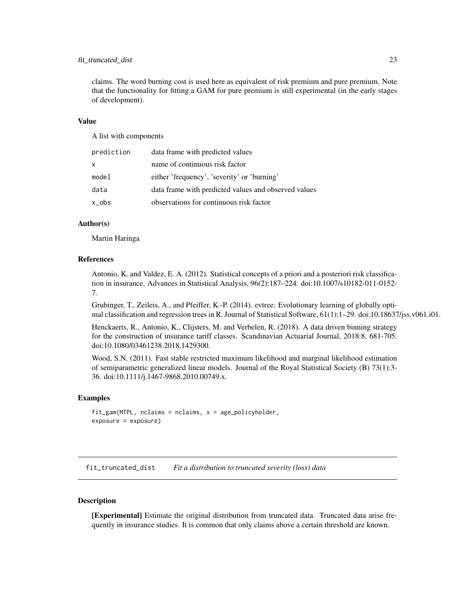# <span id="page-22-0"></span>fit\_truncated\_dist 23

claims. The word burning cost is used here as equivalent of risk premium and pure premium. Note that the functionality for fitting a GAM for pure premium is still experimental (in the early stages of development).

# Value

A list with components

| prediction | data frame with predicted values                     |
|------------|------------------------------------------------------|
| x.         | name of continuous risk factor                       |
| model      | either 'frequency', 'severity' or 'burning'          |
| data       | data frame with predicted values and observed values |
| x_obs      | observations for continuous risk factor              |

#### Author(s)

Martin Haringa

#### References

Antonio, K. and Valdez, E. A. (2012). Statistical concepts of a priori and a posteriori risk classification in insurance. Advances in Statistical Analysis, 96(2):187–224. doi:10.1007/s10182-011-0152- 7.

Grubinger, T., Zeileis, A., and Pfeiffer, K.-P. (2014). evtree: Evolutionary learning of globally optimal classification and regression trees in R. Journal of Statistical Software, 61(1):1–29. doi:10.18637/jss.v061.i01.

Henckaerts, R., Antonio, K., Clijsters, M. and Verbelen, R. (2018). A data driven binning strategy for the construction of insurance tariff classes. Scandinavian Actuarial Journal, 2018:8, 681-705. doi:10.1080/03461238.2018.1429300.

Wood, S.N. (2011). Fast stable restricted maximum likelihood and marginal likelihood estimation of semiparametric generalized linear models. Journal of the Royal Statistical Society (B) 73(1):3- 36. doi:10.1111/j.1467-9868.2010.00749.x.

#### Examples

```
fit_gam(MTPL, nclaims = nclaims, x = age_policyholder,
exposure = exposure)
```
fit\_truncated\_dist *Fit a distribution to truncated severity (loss) data*

#### Description

[Experimental] Estimate the original distribution from truncated data. Truncated data arise frequently in insurance studies. It is common that only claims above a certain threshold are known.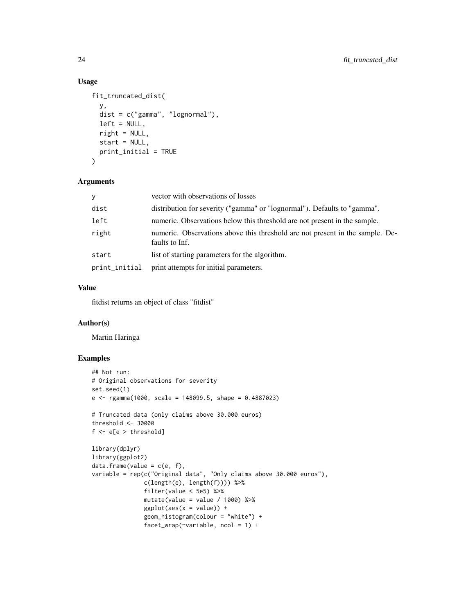# Usage

```
fit_truncated_dist(
  y,
  dist = c("gamma", "lognormal"),
  left = NULL,
  right = NULL,start = NULL,
 print_initial = TRUE
)
```
#### Arguments

| V             | vector with observations of losses                                                              |
|---------------|-------------------------------------------------------------------------------------------------|
| dist          | distribution for severity ("gamma" or "lognormal"). Defaults to "gamma".                        |
| left          | numeric. Observations below this threshold are not present in the sample.                       |
| right         | numeric. Observations above this threshold are not present in the sample. De-<br>faults to Inf. |
| start         | list of starting parameters for the algorithm.                                                  |
| print_initial | print attempts for initial parameters.                                                          |

# Value

fitdist returns an object of class "fitdist"

#### Author(s)

Martin Haringa

# Examples

```
## Not run:
# Original observations for severity
set.seed(1)
e <- rgamma(1000, scale = 148099.5, shape = 0.4887023)
# Truncated data (only claims above 30.000 euros)
threshold <- 30000
f <- e[e > threshold]
library(dplyr)
library(ggplot2)
data-frame(value = c(e, f),variable = rep(c("Original data", "Only claims above 30.000 euros"),
               c(length(e), length(f)))) %>%
               filter(value < 5e5) %>%
               mutate(value = value / 1000) %ggplot(aes(x = value)) +geom_histogram(colour = "white") +
               facet_wrap(\simvariable, ncol = 1) +
```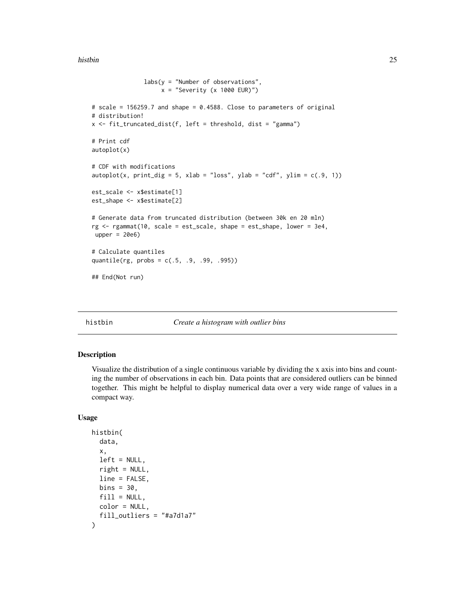#### <span id="page-24-0"></span>histbin 25

```
labs(y = "Number of observations",x = "Severity (x 1000 EUR)")
# scale = 156259.7 and shape = 0.4588. Close to parameters of original
# distribution!
x <- fit_truncated_dist(f, left = threshold, dist = "gamma")
# Print cdf
autoplot(x)
# CDF with modifications
autoplot(x, print\_dig = 5, xlab = "loss", ylab = "cdf", ylim = c(.9, 1))est_scale <- x$estimate[1]
est_shape <- x$estimate[2]
# Generate data from truncated distribution (between 30k en 20 mln)
rg <- rgammat(10, scale = est_scale, shape = est_shape, lower = 3e4,
upper = 20e6# Calculate quantiles
quantile(rg, probs = c(.5, .9, .99, .995))
## End(Not run)
```
histbin *Create a histogram with outlier bins*

# Description

Visualize the distribution of a single continuous variable by dividing the x axis into bins and counting the number of observations in each bin. Data points that are considered outliers can be binned together. This might be helpful to display numerical data over a very wide range of values in a compact way.

#### Usage

```
histbin(
  data,
  x,
  left = NULL,right = NULL,line = FALSE,
 bins = 30,
  fill = NULL,color = NULL,
  fill_outliers = "#a7d1a7"
)
```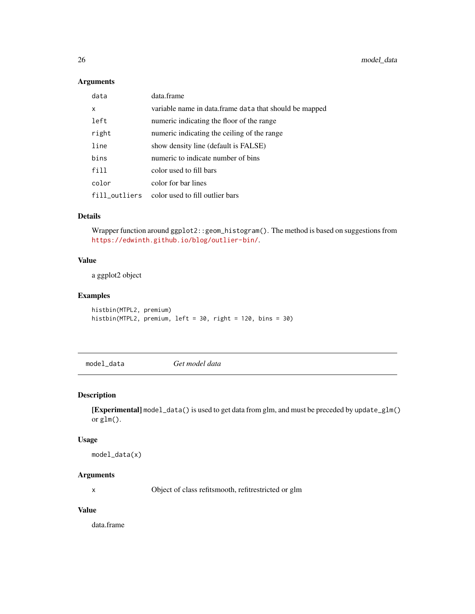# <span id="page-25-0"></span>Arguments

| data          | data.frame                                             |
|---------------|--------------------------------------------------------|
| X             | variable name in data.frame data that should be mapped |
| left          | numeric indicating the floor of the range              |
| right         | numeric indicating the ceiling of the range            |
| line          | show density line (default is FALSE)                   |
| bins          | numeric to indicate number of bins                     |
| fill          | color used to fill bars                                |
| color         | color for bar lines                                    |
| fill_outliers | color used to fill outlier bars                        |

# Details

Wrapper function around ggplot2::geom\_histogram(). The method is based on suggestions from <https://edwinth.github.io/blog/outlier-bin/>.

# Value

a ggplot2 object

# Examples

histbin(MTPL2, premium) histbin(MTPL2, premium, left = 30, right = 120, bins = 30)

model\_data *Get model data*

# Description

[Experimental] model\_data() is used to get data from glm, and must be preceded by update\_glm() or glm().

#### Usage

model\_data(x)

# Arguments

x Object of class refitsmooth, refitrestricted or glm

# Value

data.frame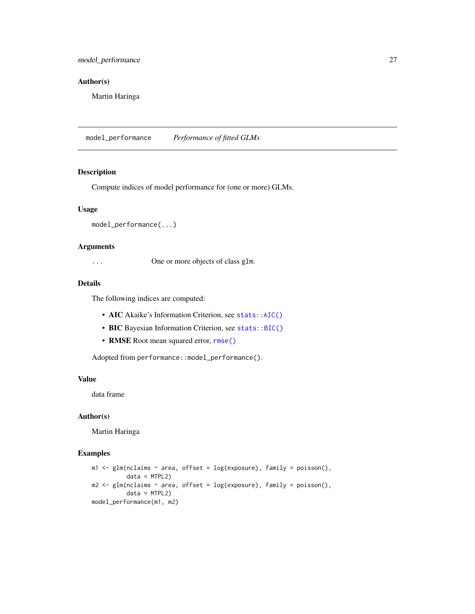# <span id="page-26-0"></span>model\_performance 27

# Author(s)

Martin Haringa

model\_performance *Performance of fitted GLMs*

# Description

Compute indices of model performance for (one or more) GLMs.

# Usage

```
model_performance(...)
```
#### Arguments

... One or more objects of class glm.

#### Details

The following indices are computed:

- AIC Akaike's Information Criterion, see stats:: AIC()
- BIC Bayesian Information Criterion, see [stats::BIC\(\)](#page-0-0)
- RMSE Root mean squared error, [rmse\(\)](#page-37-1)

Adopted from performance::model\_performance().

# Value

data frame

# Author(s)

Martin Haringa

# Examples

```
m1 < - glm(nclaims \sim area, offset = log(exposure), family = poisson(),
          data = MTPL2)m2 \leq glm(nclaim \leq nrea, offset = log(exposure), family = poisson(),data = MTPL2)model_performance(m1, m2)
```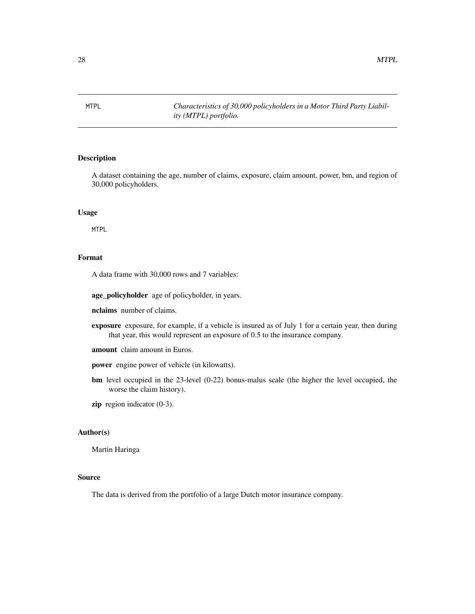<span id="page-27-0"></span>MTPL *Characteristics of 30,000 policyholders in a Motor Third Party Liability (MTPL) portfolio.*

#### Description

A dataset containing the age, number of claims, exposure, claim amount, power, bm, and region of 30,000 policyholders.

# Usage

MTPL

#### Format

A data frame with 30,000 rows and 7 variables:

age\_policyholder age of policyholder, in years.

nclaims number of claims.

exposure exposure, for example, if a vehicle is insured as of July 1 for a certain year, then during that year, this would represent an exposure of 0.5 to the insurance company.

amount claim amount in Euros.

power engine power of vehicle (in kilowatts).

bm level occupied in the 23-level (0-22) bonus-malus scale (the higher the level occupied, the worse the claim history).

zip region indicator (0-3).

# Author(s)

Martin Haringa

# Source

The data is derived from the portfolio of a large Dutch motor insurance company.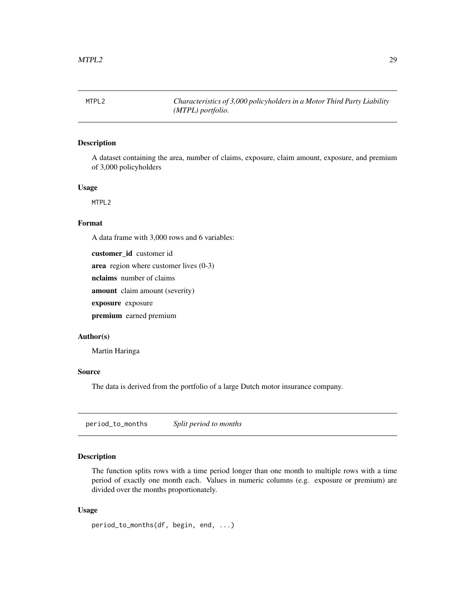<span id="page-28-0"></span>MTPL2 *Characteristics of 3,000 policyholders in a Motor Third Party Liability (MTPL) portfolio.*

#### Description

A dataset containing the area, number of claims, exposure, claim amount, exposure, and premium of 3,000 policyholders

#### Usage

MTPL2

#### Format

A data frame with 3,000 rows and 6 variables:

customer id customer id area region where customer lives (0-3) nclaims number of claims amount claim amount (severity) exposure exposure

premium earned premium

#### Author(s)

Martin Haringa

#### Source

The data is derived from the portfolio of a large Dutch motor insurance company.

period\_to\_months *Split period to months*

# Description

The function splits rows with a time period longer than one month to multiple rows with a time period of exactly one month each. Values in numeric columns (e.g. exposure or premium) are divided over the months proportionately.

#### Usage

period\_to\_months(df, begin, end, ...)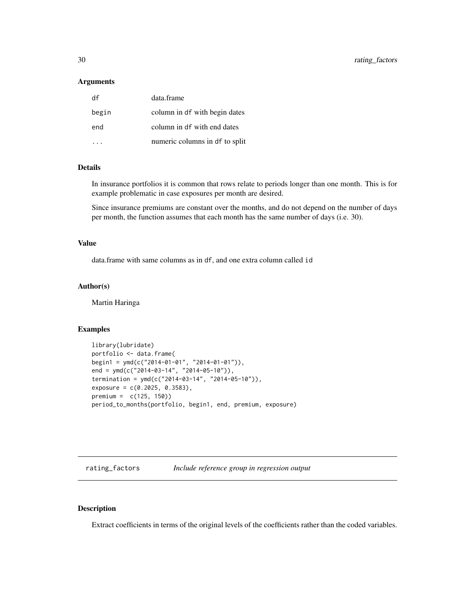#### <span id="page-29-0"></span>**Arguments**

| df    | data.frame                     |
|-------|--------------------------------|
| begin | column in df with begin dates  |
| end   | column in df with end dates    |
|       | numeric columns in df to split |

#### Details

In insurance portfolios it is common that rows relate to periods longer than one month. This is for example problematic in case exposures per month are desired.

Since insurance premiums are constant over the months, and do not depend on the number of days per month, the function assumes that each month has the same number of days (i.e. 30).

#### Value

data.frame with same columns as in df, and one extra column called id

#### Author(s)

Martin Haringa

#### Examples

```
library(lubridate)
portfolio <- data.frame(
begin1 = ymd(c("2014-01-01", "2014-01-01")),
end = ymd(c("2014-03-14", "2014-05-10")),
termination = ymd(c("2014-03-14", "2014-05-10")),
exposure = c(0.2025, 0.3583),
premium = c(125, 150))
period_to_months(portfolio, begin1, end, premium, exposure)
```
rating\_factors *Include reference group in regression output*

# Description

Extract coefficients in terms of the original levels of the coefficients rather than the coded variables.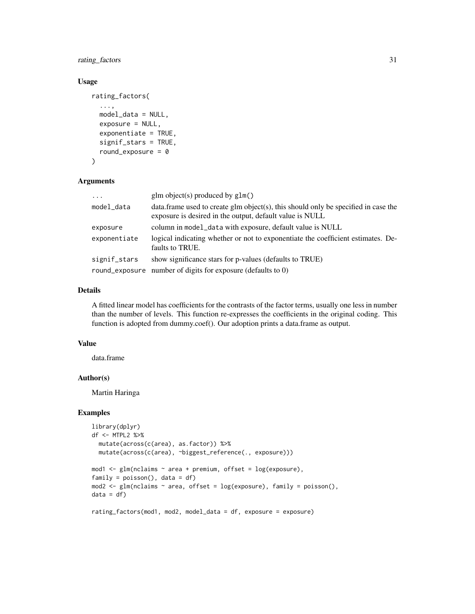rating\_factors 31

# Usage

```
rating_factors(
  ...,
 model_data = NULL,
 exposure = NULL,
 exponentiate = TRUE,signif_stars = TRUE,
 round_exposure = 0)
```
#### Arguments

| $\cdot$      | glm object(s) produced by $g1m()$                                                                                                               |
|--------------|-------------------------------------------------------------------------------------------------------------------------------------------------|
| model_data   | data. frame used to create glm object(s), this should only be specified in case the<br>exposure is desired in the output, default value is NULL |
| exposure     | column in model_data with exposure, default value is NULL                                                                                       |
| exponentiate | logical indicating whether or not to exponentiate the coefficient estimates. De-<br>faults to TRUE.                                             |
| signif_stars | show significance stars for p-values (defaults to TRUE)                                                                                         |
|              | round_exposure number of digits for exposure (defaults to 0)                                                                                    |

# Details

A fitted linear model has coefficients for the contrasts of the factor terms, usually one less in number than the number of levels. This function re-expresses the coefficients in the original coding. This function is adopted from dummy.coef(). Our adoption prints a data.frame as output.

#### Value

data.frame

# Author(s)

Martin Haringa

#### Examples

```
library(dplyr)
df <- MTPL2 %>%
  mutate(across(c(area), as.factor)) %>%
  mutate(across(c(area), ~biggest_reference(., exposure)))
mod1 <- glm(nclaims ~ area + premium, offset = log(exposure),
family = poisson(), data = df)
mod2 <- glm(nclaims ~ area, offset = log(exposure), family = poisson(),
```

```
data = df)
```

```
rating_factors(mod1, mod2, model_data = df, exposure = exposure)
```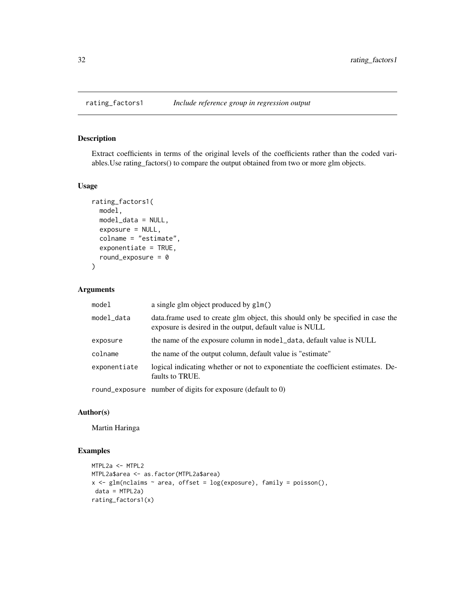# Description

Extract coefficients in terms of the original levels of the coefficients rather than the coded variables.Use rating\_factors() to compare the output obtained from two or more glm objects.

#### Usage

```
rating_factors1(
 model,
 model_data = NULL,
 exposure = NULL,
 colname = "estimate",
 exponentiate = TRUE,
  round_exposure = 0)
```
# Arguments

| model        | a single glm object produced by glm()                                                                                                        |
|--------------|----------------------------------------------------------------------------------------------------------------------------------------------|
| model_data   | data. frame used to create glm object, this should only be specified in case the<br>exposure is desired in the output, default value is NULL |
| exposure     | the name of the exposure column in model_data, default value is NULL                                                                         |
| colname      | the name of the output column, default value is "estimate"                                                                                   |
| exponentiate | logical indicating whether or not to exponentiate the coefficient estimates. De-<br>faults to TRUE.                                          |
|              | round_exposure number of digits for exposure (default to 0)                                                                                  |

#### Author(s)

Martin Haringa

# Examples

```
MTPL2a <- MTPL2
MTPL2a$area <- as.factor(MTPL2a$area)
x \leq glm(nclains \sim area, offset = log(exposure), family = poisson(),data = MTPL2a)
rating_factors1(x)
```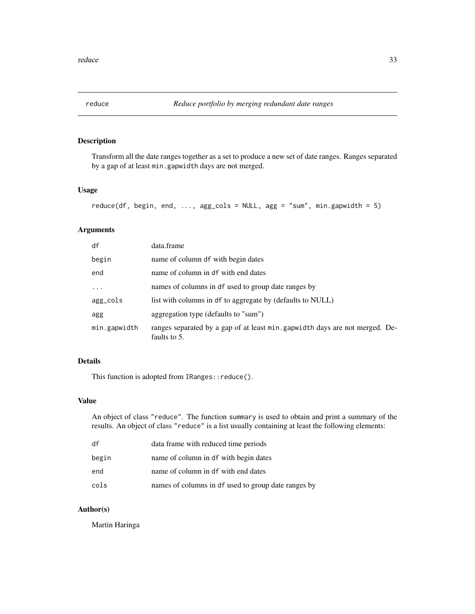<span id="page-32-0"></span>

# Description

Transform all the date ranges together as a set to produce a new set of date ranges. Ranges separated by a gap of at least min.gapwidth days are not merged.

#### Usage

```
reduce(df, begin, end, ..., agg_cols = NULL, agg = "sum", min.gapwidth = 5)
```
# Arguments

| data.frame                                                                                    |
|-----------------------------------------------------------------------------------------------|
| name of column df with begin dates                                                            |
| name of column in df with end dates                                                           |
| names of columns in df used to group date ranges by                                           |
| list with columns in df to aggregate by (defaults to NULL)                                    |
| aggregation type (defaults to "sum")                                                          |
| ranges separated by a gap of at least min. gap width days are not merged. De-<br>faults to 5. |
|                                                                                               |

# Details

This function is adopted from IRanges:: reduce().

# Value

An object of class "reduce". The function summary is used to obtain and print a summary of the results. An object of class "reduce" is a list usually containing at least the following elements:

| df    | data frame with reduced time periods                |
|-------|-----------------------------------------------------|
| begin | name of column in df with begin dates               |
| end   | name of column in df with end dates                 |
| cols  | names of columns in df used to group date ranges by |

## Author(s)

Martin Haringa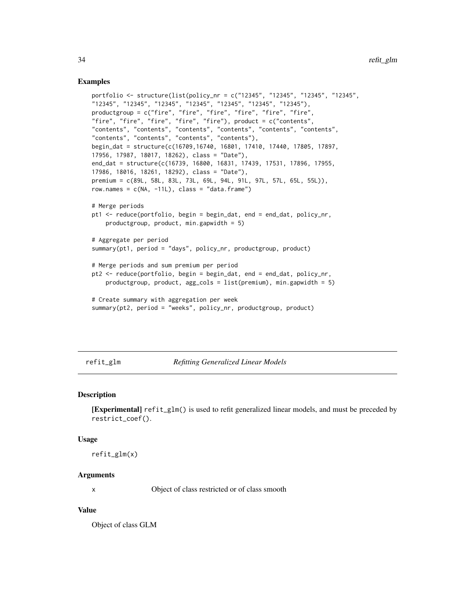#### <span id="page-33-0"></span>Examples

```
portfolio <- structure(list(policy_nr = c("12345", "12345", "12345", "12345",
"12345", "12345", "12345", "12345", "12345", "12345", "12345"),
productgroup = c("fire", "fire", "fire", "fire", "fire", "fire",
"fire", "fire", "fire", "fire", "fire"), product = c("contents",
"contents", "contents", "contents", "contents", "contents", "contents",
"contents", "contents", "contents", "contents"),
begin_dat = structure(c(16709,16740, 16801, 17410, 17440, 17805, 17897,
17956, 17987, 18017, 18262), class = "Date"),
end_dat = structure(c(16739, 16800, 16831, 17439, 17531, 17896, 17955,
17986, 18016, 18261, 18292), class = "Date"),
premium = c(89L, 58L, 83L, 73L, 69L, 94L, 91L, 97L, 57L, 65L, 55L)),
row.names = c(NA, -11L), class = "data.frame")
# Merge periods
pt1 <- reduce(portfolio, begin = begin_dat, end = end_dat, policy_nr,
    productgroup, product, min.gapwidth = 5)
# Aggregate per period
summary(pt1, period = "days", policy_nr, productgroup, product)
# Merge periods and sum premium per period
pt2 <- reduce(portfolio, begin = begin_dat, end = end_dat, policy_nr,
    productgroup, product, agg\_cols = list(premium), min.gapwidth = 5)
# Create summary with aggregation per week
summary(pt2, period = "weeks", policy_nr, productgroup, product)
```
#### refit\_glm *Refitting Generalized Linear Models*

#### Description

[Experimental] refit\_glm() is used to refit generalized linear models, and must be preceded by restrict\_coef().

#### Usage

```
refit_glm(x)
```
# Arguments

x Object of class restricted or of class smooth

#### Value

Object of class GLM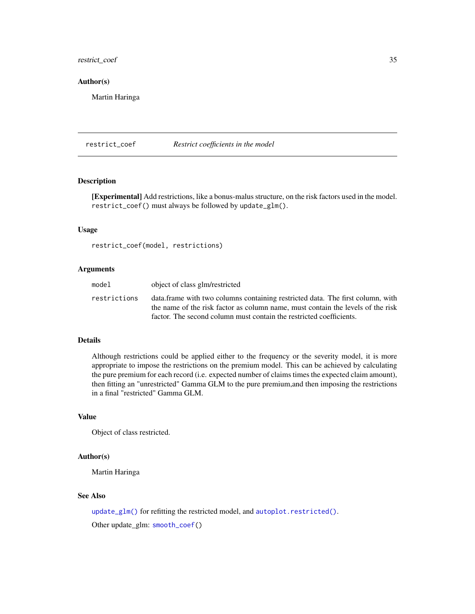# <span id="page-34-0"></span>restrict\_coef 35

#### Author(s)

Martin Haringa

<span id="page-34-1"></span>restrict\_coef *Restrict coefficients in the model*

#### Description

[Experimental] Add restrictions, like a bonus-malus structure, on the risk factors used in the model. restrict\_coef() must always be followed by update\_glm().

# Usage

restrict\_coef(model, restrictions)

# Arguments

| model        | object of class glm/restricted                                                                                                                                                |
|--------------|-------------------------------------------------------------------------------------------------------------------------------------------------------------------------------|
| restrictions | data. The first column with two columns containing restricted data. The first column, with<br>the name of the risk factor as column name, must contain the levels of the risk |
|              | factor. The second column must contain the restricted coefficients.                                                                                                           |

# Details

Although restrictions could be applied either to the frequency or the severity model, it is more appropriate to impose the restrictions on the premium model. This can be achieved by calculating the pure premium for each record (i.e. expected number of claims times the expected claim amount), then fitting an "unrestricted" Gamma GLM to the pure premium,and then imposing the restrictions in a final "restricted" Gamma GLM.

#### Value

Object of class restricted.

# Author(s)

Martin Haringa

# See Also

[update\\_glm\(\)](#page-43-1) for refitting the restricted model, and [autoplot.restricted\(\)](#page-7-1). Other update\_glm: [smooth\\_coef\(](#page-39-1))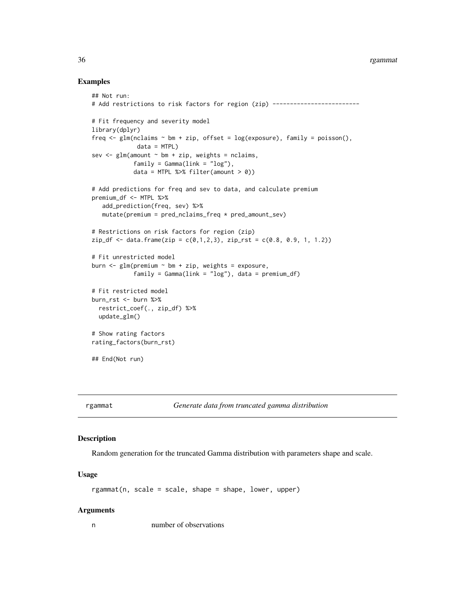#### 36 rgammat

#### Examples

```
## Not run:
# Add restrictions to risk factors for region (zip) -------------------------
# Fit frequency and severity model
library(dplyr)
freq \leq glm(nclaims \sim bm + zip, offset = log(exposure), family = poisson(),
             data = MTPL)
sev \leq glm(amount \sim bm + zip, weights = nclaims,
            family = Gamma(link = "log"),
            data = MTPL %>% filter(amount > 0))
# Add predictions for freq and sev to data, and calculate premium
premium_df <- MTPL %>%
   add_prediction(freq, sev) %>%
   mutate(premium = pred_nclaims_freq * pred_amount_sev)
# Restrictions on risk factors for region (zip)
zip_f < - data.frame(zip = c(0,1,2,3), zip_rst = c(0.8, 0.9, 1, 1.2))
# Fit unrestricted model
burn \leq glm(premium \sim bm + zip, weights = exposure,
            family = Gamma(link = "log"), data = premium_df)# Fit restricted model
burn_rst <- burn %>%
  restrict_coef(., zip_df) %>%
  update_glm()
# Show rating factors
rating_factors(burn_rst)
## End(Not run)
```
#### rgammat *Generate data from truncated gamma distribution*

#### Description

Random generation for the truncated Gamma distribution with parameters shape and scale.

#### Usage

rgammat(n, scale = scale, shape = shape, lower, upper)

#### Arguments

n number of observations

<span id="page-35-0"></span>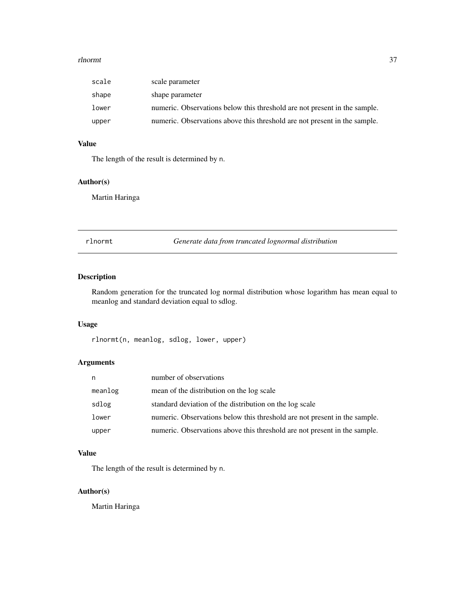#### <span id="page-36-0"></span>rlnormt 37

| scale | scale parameter                                                           |
|-------|---------------------------------------------------------------------------|
| shape | shape parameter                                                           |
| lower | numeric. Observations below this threshold are not present in the sample. |
| upper | numeric. Observations above this threshold are not present in the sample. |

# Value

The length of the result is determined by n.

#### Author(s)

Martin Haringa

rlnormt *Generate data from truncated lognormal distribution*

# Description

Random generation for the truncated log normal distribution whose logarithm has mean equal to meanlog and standard deviation equal to sdlog.

# Usage

rlnormt(n, meanlog, sdlog, lower, upper)

# Arguments

| n       | number of observations                                                    |
|---------|---------------------------------------------------------------------------|
| meanlog | mean of the distribution on the log scale                                 |
| sdlog   | standard deviation of the distribution on the log scale                   |
| lower   | numeric. Observations below this threshold are not present in the sample. |
| upper   | numeric. Observations above this threshold are not present in the sample. |

#### Value

The length of the result is determined by n.

# Author(s)

Martin Haringa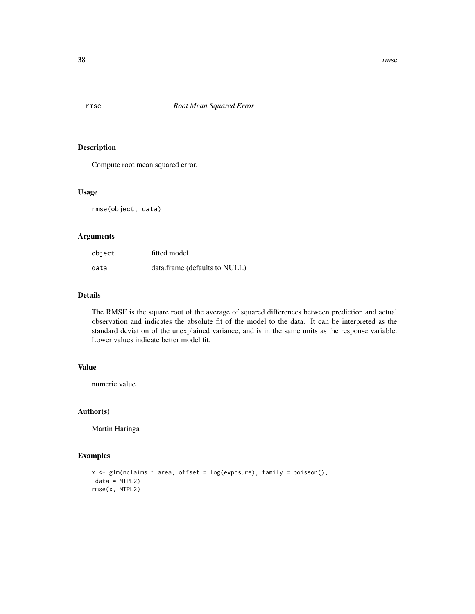<span id="page-37-1"></span><span id="page-37-0"></span>

# Description

Compute root mean squared error.

# Usage

rmse(object, data)

# Arguments

| object | fitted model                  |
|--------|-------------------------------|
| data   | data.frame (defaults to NULL) |

# Details

The RMSE is the square root of the average of squared differences between prediction and actual observation and indicates the absolute fit of the model to the data. It can be interpreted as the standard deviation of the unexplained variance, and is in the same units as the response variable. Lower values indicate better model fit.

# Value

numeric value

#### Author(s)

Martin Haringa

# Examples

```
x \leq glm(nclaims \sim area, offset = log(exposure), family = poisson(),
data = MTPL2)rmse(x, MTPL2)
```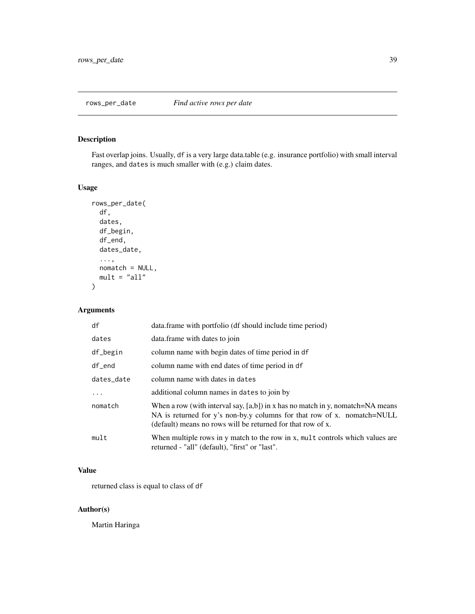# <span id="page-38-0"></span>Description

Fast overlap joins. Usually, df is a very large data.table (e.g. insurance portfolio) with small interval ranges, and dates is much smaller with (e.g.) claim dates.

# Usage

```
rows_per_date(
  df,
  dates,
 df_begin,
 df_end,
 dates_date,
  ...,
 nomatch = NULL,
 mult = "all")
```
# Arguments

| df         | data.frame with portfolio (df should include time period)                                                                                                                                                                   |
|------------|-----------------------------------------------------------------------------------------------------------------------------------------------------------------------------------------------------------------------------|
| dates      | data.frame with dates to join                                                                                                                                                                                               |
| df_begin   | column name with begin dates of time period in df                                                                                                                                                                           |
| $df$ end   | column name with end dates of time period in df                                                                                                                                                                             |
| dates_date | column name with dates in dates                                                                                                                                                                                             |
|            | additional column names in dates to join by                                                                                                                                                                                 |
| nomatch    | When a row (with interval say, $[a,b]$ ) in x has no match in y, nomatch=NA means<br>NA is returned for y's non-by.y columns for that row of x. nomatch=NULL<br>(default) means no rows will be returned for that row of x. |
| mult       | When multiple rows in y match to the row in x, mult controls which values are<br>returned - "all" (default), "first" or "last".                                                                                             |

# Value

returned class is equal to class of df

## Author(s)

Martin Haringa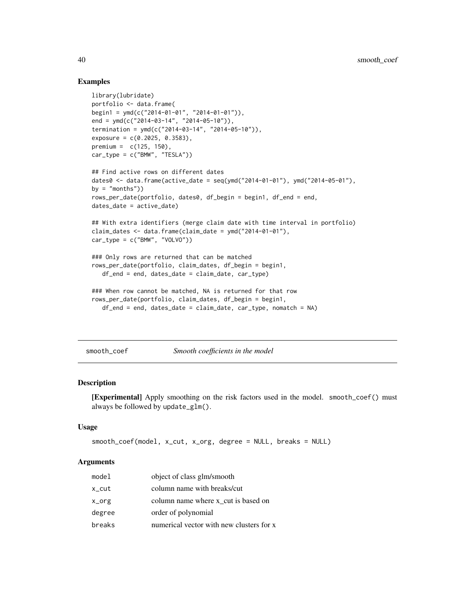# Examples

```
library(lubridate)
portfolio <- data.frame(
begin1 = ymd(c("2014-01-01", "2014-01-01")),
end = ymd(c("2014-03-14", "2014-05-10")),
termination = ymd(c("2014-03-14", "2014-05-10")),
exposure = c(0.2025, 0.3583),
premium = c(125, 150),
car_type = c("BMW", "TESLA"))## Find active rows on different dates
dates0 <- data.frame(active_date = seq(ymd("2014-01-01"), ymd("2014-05-01"),
by = "months"))
rows_per_date(portfolio, dates0, df_begin = begin1, df_end = end,
dates_date = active_date)
## With extra identifiers (merge claim date with time interval in portfolio)
claim_dates \leq data.frame(claim_date = ymd("2014-01-01"),
car_type = c("BMW", "VOLVO"))### Only rows are returned that can be matched
rows_per_date(portfolio, claim_dates, df_begin = begin1,
   df end = end, dates_date = claim_date, car_type)
### When row cannot be matched, NA is returned for that row
rows_per_date(portfolio, claim_dates, df_begin = begin1,
   df_{end} = end, dates_date = claim_date, car_type, nomatch = NA)
```
<span id="page-39-1"></span>smooth\_coef *Smooth coefficients in the model*

# Description

[Experimental] Apply smoothing on the risk factors used in the model. smooth\_coef() must always be followed by update\_glm().

#### Usage

```
smooth_coef(model, x_cut, x_org, degree = NULL, breaks = NULL)
```

| model  | object of class glm/smooth               |
|--------|------------------------------------------|
| x_cut  | column name with breaks/cut              |
| x_org  | column name where x cut is based on      |
| degree | order of polynomial                      |
| breaks | numerical vector with new clusters for x |

<span id="page-39-0"></span>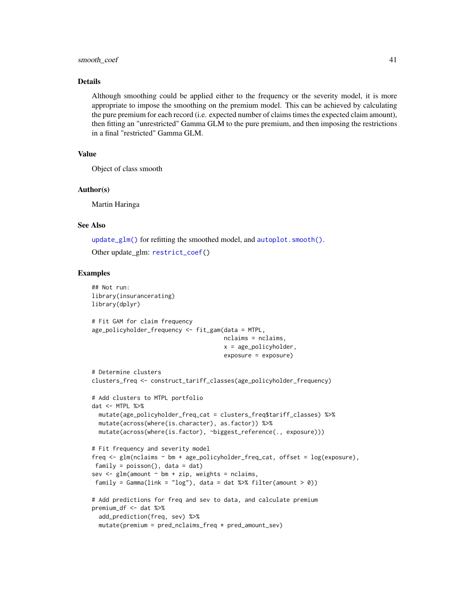#### <span id="page-40-0"></span>smooth\_coef 41

#### Details

Although smoothing could be applied either to the frequency or the severity model, it is more appropriate to impose the smoothing on the premium model. This can be achieved by calculating the pure premium for each record (i.e. expected number of claims times the expected claim amount), then fitting an "unrestricted" Gamma GLM to the pure premium, and then imposing the restrictions in a final "restricted" Gamma GLM.

# Value

Object of class smooth

#### Author(s)

Martin Haringa

### See Also

[update\\_glm\(\)](#page-43-1) for refitting the smoothed model, and [autoplot.smooth\(\)](#page-9-1).

Other update\_glm: [restrict\\_coef\(](#page-34-1))

#### Examples

```
## Not run:
library(insurancerating)
library(dplyr)
# Fit GAM for claim frequency
age_policyholder_frequency <- fit_gam(data = MTPL,
                                      nclaims = nclaims,
                                      x = age_policyholder,
                                      exposure = exposure)
# Determine clusters
clusters_freq <- construct_tariff_classes(age_policyholder_frequency)
# Add clusters to MTPL portfolio
dat <- MTPL %>%
  mutate(age_policyholder_freq_cat = clusters_freq$tariff_classes) %>%
  mutate(across(where(is.character), as.factor)) %>%
  mutate(across(where(is.factor), ~biggest_reference(., exposure)))
# Fit frequency and severity model
freq <- glm(nclaims ~ bm + age_policyholder_freq_cat, offset = log(exposure),
 family = poisson(), data = dat)
sev \leq glm(amount \sim bm + zip, weights = nclaims,
 family = Gamma(link = "log"), data = dat %>% filter(amount > 0))
# Add predictions for freq and sev to data, and calculate premium
premium_df <- dat %>%
  add_prediction(freq, sev) %>%
  mutate(premium = pred_nclaims_freq * pred_amount_sev)
```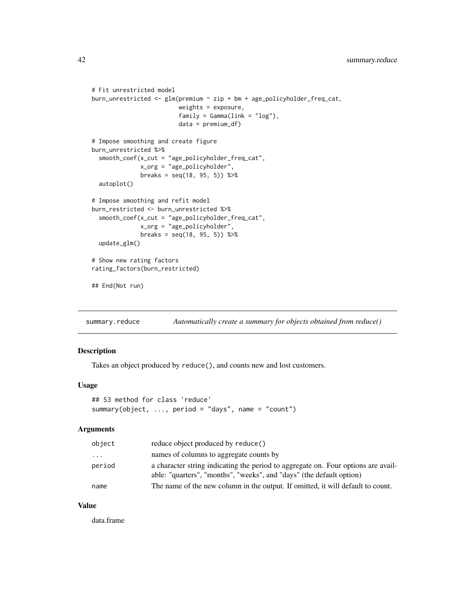```
# Fit unrestricted model
burn_unrestricted <- glm(premium ~ zip + bm + age_policyholder_freq_cat,
                         weights = exposure,
                         family = Gamma(link = "log"),
                         data = premium_df)
# Impose smoothing and create figure
burn_unrestricted %>%
  smooth_coef(x_cut = "age_policyholder_freq_cat",
              x_org = "age_policyholder",
              breaks = seq(18, 95, 5)) %>%
  autoplot()
# Impose smoothing and refit model
burn_restricted <- burn_unrestricted %>%
  smooth_coef(x_cut = "age_policyholder_freq_cat",
             x_org = "age_policyholder",
              breaks = seq(18, 95, 5) %>%
  update_glm()
# Show new rating factors
rating_factors(burn_restricted)
## End(Not run)
```
summary.reduce *Automatically create a summary for objects obtained from reduce()*

#### Description

Takes an object produced by reduce(), and counts new and lost customers.

#### Usage

```
## S3 method for class 'reduce'
summary(object, ..., period = "days", name = "count")
```
#### Arguments

| object   | reduce object produced by reduce()                                                                                                                        |
|----------|-----------------------------------------------------------------------------------------------------------------------------------------------------------|
| $\cdots$ | names of columns to aggregate counts by                                                                                                                   |
| period   | a character string indicating the period to aggregate on. Four options are avail-<br>able: "quarters", "months", "weeks", and "days" (the default option) |
| name     | The name of the new column in the output. If omitted, it will default to count.                                                                           |

#### Value

data.frame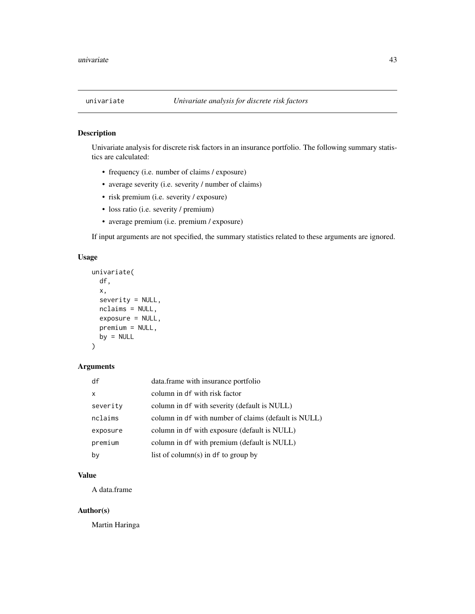<span id="page-42-0"></span>

# Description

Univariate analysis for discrete risk factors in an insurance portfolio. The following summary statistics are calculated:

- frequency (i.e. number of claims / exposure)
- average severity (i.e. severity / number of claims)
- risk premium (i.e. severity / exposure)
- loss ratio (i.e. severity / premium)
- average premium (i.e. premium / exposure)

If input arguments are not specified, the summary statistics related to these arguments are ignored.

#### Usage

```
univariate(
  df,
  x,
  severity = NULL,
  nclaims = NULL,
  exposure = NULL,
  premium = NULL,
 by = NULL\mathcal{L}
```
# Arguments

| df       | data.frame with insurance portfolio                  |
|----------|------------------------------------------------------|
| x        | column in df with risk factor                        |
| severity | column in df with severity (default is NULL)         |
| nclaims  | column in df with number of claims (default is NULL) |
| exposure | column in df with exposure (default is NULL)         |
| premium  | column in df with premium (default is NULL)          |
| by       | list of column(s) in df to group by                  |

# Value

A data.frame

# Author(s)

Martin Haringa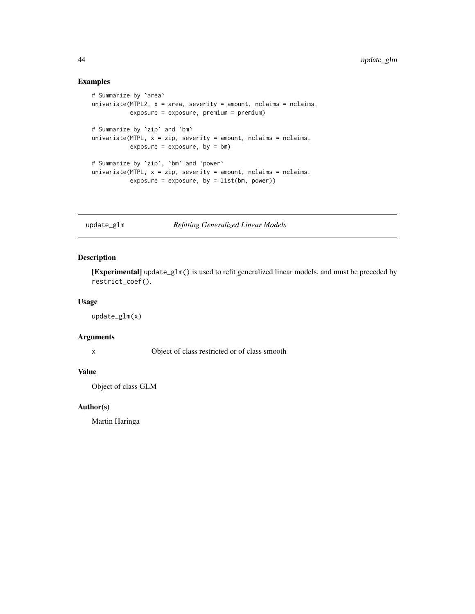# Examples

```
# Summarize by `area`
univariate(MTPL2, x = area, severity = amount, nclaims = nclaims,
           exposure = exposure, premium = premium)
# Summarize by `zip` and `bm`
univariate(MTPL, x = zip, severity = amount, nclaims = nclaims,
           exposure = exposure, by = bm)# Summarize by `zip`, `bm` and `power`
univariate(MTPL, x = zip, severity = amount, nclaims = nclaims,
           exposure = exposure, by = list(bm, power))
```
<span id="page-43-1"></span>update\_glm *Refitting Generalized Linear Models*

# Description

[Experimental] update\_glm() is used to refit generalized linear models, and must be preceded by restrict\_coef().

# Usage

update\_glm(x)

# Arguments

x Object of class restricted or of class smooth

#### Value

Object of class GLM

#### Author(s)

Martin Haringa

<span id="page-43-0"></span>